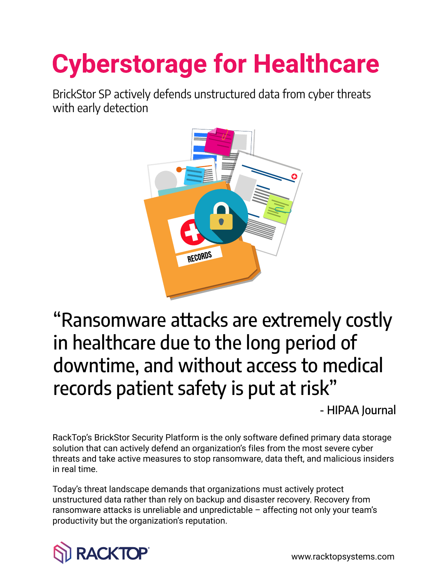# **Cyberstorage for Healthcare**

BrickStor SP actively defends unstructured data from cyber threats with early detection



"Ransomware attacks are extremely costly in healthcare due to the long period of downtime, and without access to medical records patient safety is put at risk"

- HIPAA Journal

RackTop's BrickStor Security Platform is the only software defined primary data storage solution that can actively defend an organization's files from the most severe cyber threats and take active measures to stop ransomware, data theft, and malicious insiders in real time.

Today's threat landscape demands that organizations must actively protect unstructured data rather than rely on backup and disaster recovery. Recovery from ransomware attacks is unreliable and unpredictable – affecting not only your team's productivity but the organization's reputation.